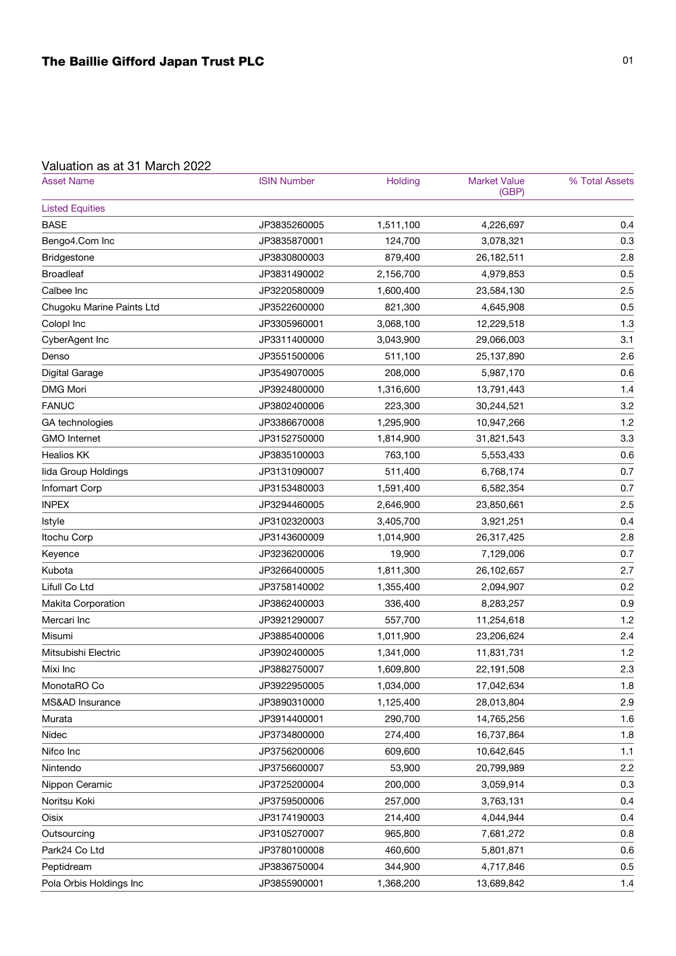## Valuation as at 31 March 2022

| <b>Asset Name</b>         | <b>ISIN Number</b> | Holding   | <b>Market Value</b><br>(GBP) | % Total Assets |
|---------------------------|--------------------|-----------|------------------------------|----------------|
| <b>Listed Equities</b>    |                    |           |                              |                |
| <b>BASE</b>               | JP3835260005       | 1,511,100 | 4,226,697                    | 0.4            |
| Bengo4.Com Inc            | JP3835870001       | 124,700   | 3,078,321                    | 0.3            |
| <b>Bridgestone</b>        | JP3830800003       | 879,400   | 26,182,511                   | 2.8            |
| <b>Broadleaf</b>          | JP3831490002       | 2,156,700 | 4,979,853                    | 0.5            |
| Calbee Inc                | JP3220580009       | 1,600,400 | 23,584,130                   | 2.5            |
| Chugoku Marine Paints Ltd | JP3522600000       | 821,300   | 4,645,908                    | 0.5            |
| Colopl Inc                | JP3305960001       | 3,068,100 | 12,229,518                   | 1.3            |
| CyberAgent Inc            | JP3311400000       | 3,043,900 | 29,066,003                   | 3.1            |
| Denso                     | JP3551500006       | 511,100   | 25,137,890                   | 2.6            |
| Digital Garage            | JP3549070005       | 208,000   | 5,987,170                    | 0.6            |
| <b>DMG Mori</b>           | JP3924800000       | 1,316,600 | 13,791,443                   | 1.4            |
| <b>FANUC</b>              | JP3802400006       | 223,300   | 30,244,521                   | 3.2            |
| GA technologies           | JP3386670008       | 1,295,900 | 10,947,266                   | 1.2            |
| <b>GMO</b> Internet       | JP3152750000       | 1,814,900 | 31,821,543                   | 3.3            |
| <b>Healios KK</b>         | JP3835100003       | 763,100   | 5,553,433                    | 0.6            |
| lida Group Holdings       | JP3131090007       | 511,400   | 6,768,174                    | 0.7            |
| Infomart Corp             | JP3153480003       | 1,591,400 | 6,582,354                    | 0.7            |
| <b>INPEX</b>              | JP3294460005       | 2,646,900 | 23,850,661                   | 2.5            |
| Istyle                    | JP3102320003       | 3,405,700 | 3,921,251                    | 0.4            |
| Itochu Corp               | JP3143600009       | 1,014,900 | 26,317,425                   | 2.8            |
| Keyence                   | JP3236200006       | 19,900    | 7,129,006                    | 0.7            |
| Kubota                    | JP3266400005       | 1,811,300 | 26,102,657                   | 2.7            |
| Lifull Co Ltd             | JP3758140002       | 1,355,400 | 2,094,907                    | 0.2            |
| Makita Corporation        | JP3862400003       | 336,400   | 8,283,257                    | 0.9            |
| Mercari Inc               | JP3921290007       | 557,700   | 11,254,618                   | 1.2            |
| Misumi                    | JP3885400006       | 1,011,900 | 23,206,624                   | 2.4            |
| Mitsubishi Electric       | JP3902400005       | 1,341,000 | 11,831,731                   | 1.2            |
| Mixi Inc                  | JP3882750007       | 1,609,800 | 22,191,508                   | 2.3            |
| MonotaRO Co               | JP3922950005       | 1,034,000 | 17,042,634                   | 1.8            |
| MS&AD Insurance           | JP3890310000       | 1,125,400 | 28,013,804                   | 2.9            |
| Murata                    | JP3914400001       | 290,700   | 14,765,256                   | 1.6            |
| Nidec                     | JP3734800000       | 274,400   | 16,737,864                   | 1.8            |
| Nifco Inc                 | JP3756200006       | 609,600   | 10,642,645                   | 1.1            |
| Nintendo                  | JP3756600007       | 53,900    | 20,799,989                   | 2.2            |
| Nippon Ceramic            | JP3725200004       | 200,000   | 3,059,914                    | 0.3            |
| Noritsu Koki              | JP3759500006       | 257,000   | 3,763,131                    | 0.4            |
| Oisix                     | JP3174190003       | 214,400   | 4,044,944                    | 0.4            |
| Outsourcing               | JP3105270007       | 965,800   | 7,681,272                    | 0.8            |
| Park24 Co Ltd             | JP3780100008       | 460,600   | 5,801,871                    | 0.6            |
| Peptidream                | JP3836750004       | 344,900   | 4,717,846                    | 0.5            |
| Pola Orbis Holdings Inc   | JP3855900001       | 1,368,200 | 13,689,842                   | 1.4            |